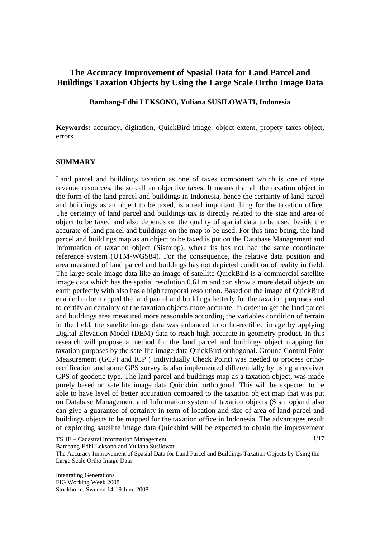# **The Accuracy Improvement of Spasial Data for Land Parcel and Buildings Taxation Objects by Using the Large Scale Ortho Image Data**

#### **Bambang-Edhi LEKSONO, Yuliana SUSILOWATI, Indonesia**

**Keywords:** accuracy, digitation, QuickBird image, object extent, propety taxes object, errors

#### **SUMMARY**

Land parcel and buildings taxation as one of taxes component which is one of state revenue resources, the so call an objective taxes. It means that all the taxation object in the form of the land parcel and buildings in Indonesia, hence the certainty of land parcel and buildings as an object to be taxed, is a real important thing for the taxation office. The certainty of land parcel and buildings tax is directly related to the size and area of object to be taxed and also depends on the quality of spatial data to be used beside the accurate of land parcel and buildings on the map to be used. For this time being, the land parcel and buildings map as an object to be taxed is put on the Database Management and Information of taxation object (Sismiop), where its has not had the same coordinate reference system (UTM-WGS84). For the consequence, the relative data position and area measured of land parcel and buildings has not depicted condition of reality in field. The large scale image data like an image of satellite QuickBird is a commercial satellite image data which has the spatial resolution 0.61 m and can show a more detail objects on earth perfectly with also has a high temporal resolution. Based on the image of QuickBird enabled to be mapped the land parcel and buildings betterly for the taxation purposes and to certify an certainty of the taxation objects more accurate. In order to get the land parcel and buildings area measured more reasonable according the variables condition of terrain in the field, the satelite image data was enhanced to ortho-rectified image by applying Digital Elevation Model (DEM) data to reach high accurate in geometry product. In this research will propose a method for the land parcel and buildings object mapping for taxation purposes by the satellite image data QuickBird orthogonal. Ground Control Point Measurement (GCP) and ICP ( Individually Check Point) was needed to process orthorectification and some GPS survey is also implemented differentially by using a receiver GPS of geodetic type. The land parcel and buildings map as a taxation object, was made purely based on satellite image data Quickbird orthogonal. This will be expected to be able to have level of better accuration compared to the taxation object map that was put on Database Management and Information system of taxation objects (Sismiop)and also can give a guarantee of certainty in term of location and size of area of land parcel and buildings objects to be mapped for the taxation office in Indonesia. The advantages result of exploiting satellite image data Quickbird will be expected to obtain the improvement

TS 1E – Cadastral Information Management

1/17

Bambang-Edhi Leksono and Yuliana Susilowati

The Accuracy Improvement of Spasial Data for Land Parcel and Buildings Taxation Objects by Using the Large Scale Ortho Image Data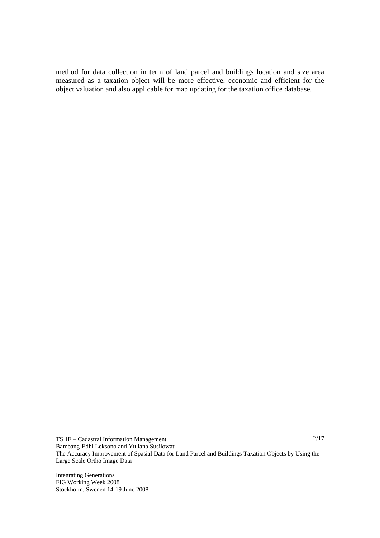method for data collection in term of land parcel and buildings location and size area measured as a taxation object will be more effective, economic and efficient for the object valuation and also applicable for map updating for the taxation office database.

TS 1E – Cadastral Information Management Bambang-Edhi Leksono and Yuliana Susilowati The Accuracy Improvement of Spasial Data for Land Parcel and Buildings Taxation Objects by Using the Large Scale Ortho Image Data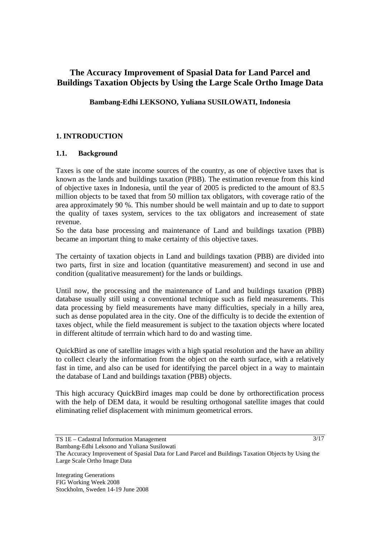# **The Accuracy Improvement of Spasial Data for Land Parcel and Buildings Taxation Objects by Using the Large Scale Ortho Image Data**

**Bambang-Edhi LEKSONO, Yuliana SUSILOWATI, Indonesia** 

## **1. INTRODUCTION**

#### **1.1. Background**

Taxes is one of the state income sources of the country, as one of objective taxes that is known as the lands and buildings taxation (PBB). The estimation revenue from this kind of objective taxes in Indonesia, until the year of 2005 is predicted to the amount of 83.5 million objects to be taxed that from 50 million tax obligators, with coverage ratio of the area approximately 90 %. This number should be well maintain and up to date to support the quality of taxes system, services to the tax obligators and increasement of state revenue.

So the data base processing and maintenance of Land and buildings taxation (PBB) became an important thing to make certainty of this objective taxes.

The certainty of taxation objects in Land and buildings taxation (PBB) are divided into two parts, first in size and location (quantitative measurement) and second in use and condition (qualitative measurement) for the lands or buildings.

Until now, the processing and the maintenance of Land and buildings taxation (PBB) database usually still using a conventional technique such as field measurements. This data processing by field measurements have many difficulties, specialy in a hilly area, such as dense populated area in the city. One of the difficulty is to decide the extention of taxes object, while the field measurement is subject to the taxation objects where located in different altitude of terrrain which hard to do and wasting time.

QuickBird as one of satellite images with a high spatial resolution and the have an ability to collect clearly the information from the object on the earth surface, with a relatively fast in time, and also can be used for identifying the parcel object in a way to maintain the database of Land and buildings taxation (PBB) objects.

This high accuracy QuickBird images map could be done by orthorectification process with the help of DEM data, it would be resulting orthogonal satellite images that could eliminating relief displacement with minimum geometrical errors.

 $3/17$ 

TS 1E – Cadastral Information Management Bambang-Edhi Leksono and Yuliana Susilowati

The Accuracy Improvement of Spasial Data for Land Parcel and Buildings Taxation Objects by Using the Large Scale Ortho Image Data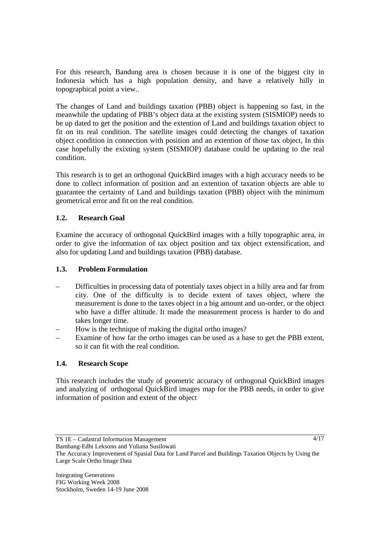For this research, Bandung area is chosen because it is one of the biggest city in Indonesia which has a high population density, and have a relatively hilly in topographical point a view..

The changes of Land and buildings taxation (PBB) object is happening so fast, in the meanwhile the updating of PBB's object data at the existing system (SISMIOP) needs to be up dated to get the position and the extention of Land and buildings taxation object to fit on its real condition. The satellite images could detecting the changes of taxation object condition in connection with position and an extention of those tax object, In this case hopefully the exixting system (SISMIOP) database could be updating to the real condition.

This research is to get an orthogonal QuickBird images with a high accuracy needs to be done to collect information of position and an extention of taxation objects are able to guarantee the certainty of Land and buildings taxation (PBB) object with the minimum geometrical error and fit on the real condition.

# **1.2. Research Goal**

Examine the accuracy of orthogonal QuickBird images with a hilly topographic area, in order to give the information of tax object position and tax object extensification, and also for updating Land and buildings taxation (PBB) database.

## **1.3. Problem Formulation**

- Difficulties in processing data of potentialy taxes object in a hilly area and far from city. One of the difficulty is to decide extent of taxes object, where the measurement is done to the taxes object in a big amount and un-order, or the object who have a differ altitude. It made the measurement process is harder to do and takes longer time.
- How is the technique of making the digital ortho images?
- Examine of how far the ortho images can be used as a base to get the PBB extent, so it can fit with the real condition.

# **1.4. Research Scope**

This research includes the study of geometric accuracy of orthogonal QuickBird images and analyzing of orthogonal QuickBird images map for the PBB needs, in order to give information of position and extent of the object

4/17

TS 1E – Cadastral Information Management

Bambang-Edhi Leksono and Yuliana Susilowati

The Accuracy Improvement of Spasial Data for Land Parcel and Buildings Taxation Objects by Using the Large Scale Ortho Image Data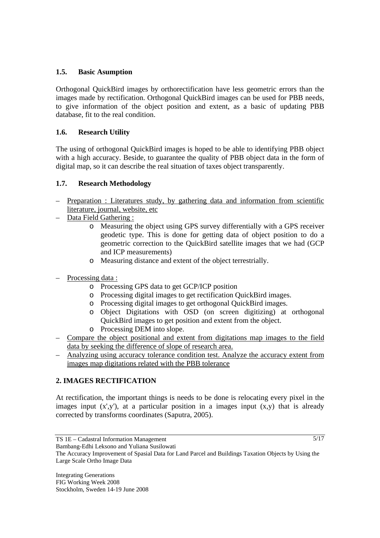## **1.5. Basic Asumption**

Orthogonal QuickBird images by orthorectification have less geometric errors than the images made by rectification. Orthogonal QuickBird images can be used for PBB needs, to give information of the object position and extent, as a basic of updating PBB database, fit to the real condition.

## **1.6. Research Utility**

The using of orthogonal QuickBird images is hoped to be able to identifying PBB object with a high accuracy. Beside, to guarantee the quality of PBB object data in the form of digital map, so it can describe the real situation of taxes object transparently.

## **1.7. Research Methodology**

- Preparation : Literatures study, by gathering data and information from scientific literature, journal, website, etc
- Data Field Gathering :
	- o Measuring the object using GPS survey differentially with a GPS receiver geodetic type. This is done for getting data of object position to do a geometric correction to the QuickBird satellite images that we had (GCP and ICP measurements)
	- o Measuring distance and extent of the object terrestrially.
- Processing data:
	- o Processing GPS data to get GCP/ICP position
	- o Processing digital images to get rectification QuickBird images.
	- o Processing digital images to get orthogonal QuickBird images.
	- o Object Digitations with OSD (on screen digitizing) at orthogonal QuickBird images to get position and extent from the object.
	- o Processing DEM into slope.
- Compare the object positional and extent from digitations map images to the field data by seeking the difference of slope of research area.
- Analyzing using accuracy tolerance condition test. Analyze the accuracy extent from images map digitations related with the PBB tolerance

# **2. IMAGES RECTIFICATION**

At rectification, the important things is needs to be done is relocating every pixel in the images input  $(x',y')$ , at a particular position in a images input  $(x,y)$  that is already corrected by transforms coordinates (Saputra, 2005).

Bambang-Edhi Leksono and Yuliana Susilowati

TS 1E – Cadastral Information Management

The Accuracy Improvement of Spasial Data for Land Parcel and Buildings Taxation Objects by Using the Large Scale Ortho Image Data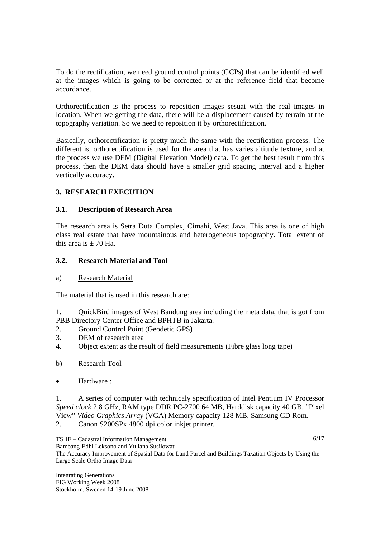To do the rectification, we need ground control points (GCPs) that can be identified well at the images which is going to be corrected or at the reference field that become accordance.

Orthorectification is the process to reposition images sesuai with the real images in location. When we getting the data, there will be a displacement caused by terrain at the topography variation. So we need to reposition it by orthorectification.

Basically, orthorectification is pretty much the same with the rectification process. The different is, orthorectification is used for the area that has varies altitude texture, and at the process we use DEM (Digital Elevation Model) data. To get the best result from this process, then the DEM data should have a smaller grid spacing interval and a higher vertically accuracy.

# **3. RESEARCH EXECUTION**

## **3.1. Description of Research Area**

The research area is Setra Duta Complex, Cimahi, West Java. This area is one of high class real estate that have mountainous and heterogeneous topography. Total extent of this area is  $+70$  Ha.

#### **3.2. Research Material and Tool**

#### a) Research Material

The material that is used in this research are:

1. QuickBird images of West Bandung area including the meta data, that is got from PBB Directory Center Office and BPHTB in Jakarta.

- 2. Ground Control Point (Geodetic GPS)
- 3. DEM of research area
- 4. Object extent as the result of field measurements (Fibre glass long tape)
- b) Research Tool
- Hardware :

1. A series of computer with technicaly specification of Intel Pentium IV Processor *Speed clock* 2,8 GHz, RAM type DDR PC-2700 64 MB, Harddisk capacity 40 GB, "Pixel View" *Video Graphics Array* (VGA) Memory capacity 128 MB, Samsung CD Rom. 2. Canon S200SPx 4800 dpi color inkjet printer.

The Accuracy Improvement of Spasial Data for Land Parcel and Buildings Taxation Objects by Using the

 $6/17$ 

Integrating Generations FIG Working Week 2008 Stockholm, Sweden 14-19 June 2008

Large Scale Ortho Image Data

TS 1E – Cadastral Information Management Bambang-Edhi Leksono and Yuliana Susilowati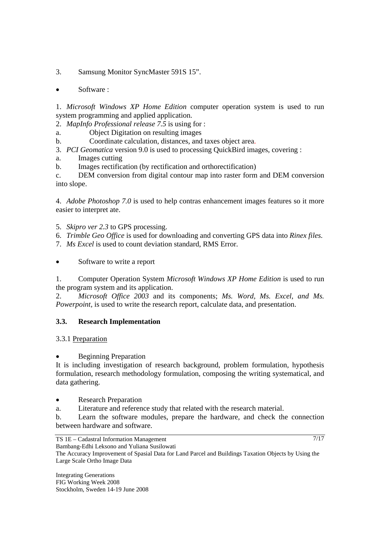3. Samsung Monitor SyncMaster 591S 15".

• Software :

1. *Microsoft Windows XP Home Edition* computer operation system is used to run system programming and applied application.

2. *MapInfo Professional release 7.5* is using for :

a. Object Digitation on resulting images

b. Coordinate calculation, distances, and taxes object area.

3. *PCI Geomatica* version 9.0 is used to processing QuickBird images, covering :

a. Images cutting

b. Images rectification (by rectification and orthorectification)

c. DEM conversion from digital contour map into raster form and DEM conversion into slope.

4. *Adobe Photoshop 7.0* is used to help contras enhancement images features so it more easier to interpret ate.

- 5. *Skipro ver 2.3* to GPS processing.
- 6. *Trimble Geo Office* is used for downloading and converting GPS data into *Rinex files.*
- 7. *Ms Excel* is used to count deviation standard, RMS Error.
- Software to write a report

1. Computer Operation System *Microsoft Windows XP Home Edition* is used to run the program system and its application.

2. *Microsoft Office 2003* and its components; *Ms. Word, Ms. Excel, and Ms. Powerpoint*, is used to write the research report, calculate data, and presentation.

# **3.3. Research Implementation**

# 3.3.1 Preparation

# **Beginning Preparation**

It is including investigation of research background, problem formulation, hypothesis formulation, research methodology formulation, composing the writing systematical, and data gathering.

• Research Preparation

a. Literature and reference study that related with the research material.

b. Learn the software modules, prepare the hardware, and check the connection between hardware and software.

TS 1E – Cadastral Information Management

Bambang-Edhi Leksono and Yuliana Susilowati The Accuracy Improvement of Spasial Data for Land Parcel and Buildings Taxation Objects by Using the

Large Scale Ortho Image Data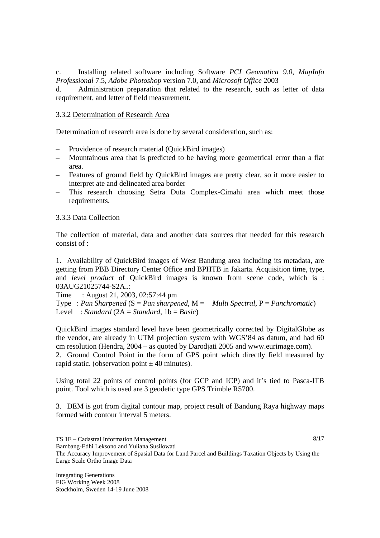c. Installing related software including Software *PCI Geomatica 9.0*, *MapInfo Professional* 7.5, *Adobe Photoshop* version 7.0, and *Microsoft Office* 2003

d. Administration preparation that related to the research, such as letter of data requirement, and letter of field measurement.

## 3.3.2 Determination of Research Area

Determination of research area is done by several consideration, such as:

- Providence of research material (QuickBird images)
- Mountainous area that is predicted to be having more geometrical error than a flat area.
- Features of ground field by QuickBird images are pretty clear, so it more easier to interpret ate and delineated area border
- This research choosing Setra Duta Complex-Cimahi area which meet those requirements.

## 3.3.3 Data Collection

The collection of material, data and another data sources that needed for this research consist of :

1. Availability of QuickBird images of West Bandung area including its metadata, are getting from PBB Directory Center Office and BPHTB in Jakarta. Acquisition time, type, and *level product* of QuickBird images is known from scene code, which is : 03AUG21025744-S2A..:

Time : August 21, 2003, 02:57:44 pm

Type : *Pan Sharpened* (S = *Pan sharpened*, M = *Multi Spectral*, P = *Panchromatic*) Level : *Standard* (2A = *Standard*, 1b = *Basic*)

QuickBird images standard level have been geometrically corrected by DigitalGlobe as the vendor, are already in UTM projection system with WGS'84 as datum, and had 60 cm resolution (Hendra, 2004 – as quoted by Darodjati 2005 and www.eurimage.com).

2. Ground Control Point in the form of GPS point which directly field measured by rapid static. (observation point  $\pm$  40 minutes).

Using total 22 points of control points (for GCP and ICP) and it's tied to Pasca-ITB point. Tool which is used are 3 geodetic type GPS Trimble R5700.

3. DEM is got from digital contour map, project result of Bandung Raya highway maps formed with contour interval 5 meters.

The Accuracy Improvement of Spasial Data for Land Parcel and Buildings Taxation Objects by Using the

 $8/17$ 

Large Scale Ortho Image Data

TS 1E – Cadastral Information Management Bambang-Edhi Leksono and Yuliana Susilowati

Integrating Generations FIG Working Week 2008 Stockholm, Sweden 14-19 June 2008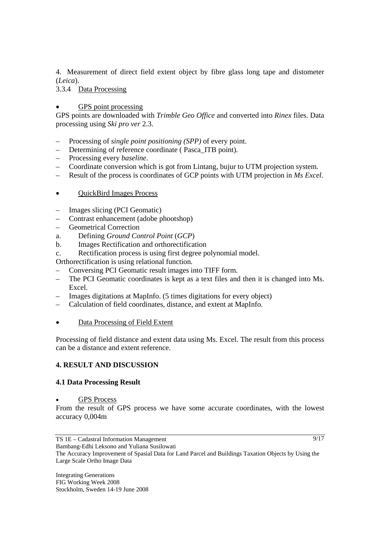4. Measurement of direct field extent object by fibre glass long tape and distometer (*Leica*).

3.3.4 Data Processing

## • GPS point processing

GPS points are downloaded with *Trimble Geo Office* and converted into *Rinex* files. Data processing using *Ski pro ver* 2.3.

- Processing of *single point positioning (SPP)* of every point.
- Determining of reference coordinate ( Pasca\_ITB point)*.*
- Processing every *baseline*.
- Coordinate conversion which is got from Lintang, bujur to UTM projection system.
- Result of the process is coordinates of GCP points with UTM projection in *Ms Excel.*

## • OuickBird Images Process

- Images slicing (PCI Geomatic)
- Contrast enhancement (adobe phootshop)
- Geometrical Correction
- a. Defining *Ground Control Point* (*GCP*)
- b. Images Rectification and orthorectification
- c. Rectification process is using first degree polynomial model.

Orthorectification is using relational function*.*

- Conversing PCI Geomatic result images into TIFF form.
- The PCI Geomatic coordinates is kept as a text files and then it is changed into Ms. Excel.
- Images digitations at MapInfo. (5 times digitations for every object)
- Calculation of field coordinates, distance, and extent at MapInfo.
- Data Processing of Field Extent

Processing of field distance and extent data using Ms. Excel. The result from this process can be a distance and extent reference.

# **4. RESULT AND DISCUSSION**

## **4.1 Data Processing Result**

#### • GPS Process

From the result of GPS process we have some accurate coordinates, with the lowest accuracy 0,004m

The Accuracy Improvement of Spasial Data for Land Parcel and Buildings Taxation Objects by Using the

 $9/17$ 

Integrating Generations FIG Working Week 2008 Stockholm, Sweden 14-19 June 2008

Large Scale Ortho Image Data

TS 1E – Cadastral Information Management Bambang-Edhi Leksono and Yuliana Susilowati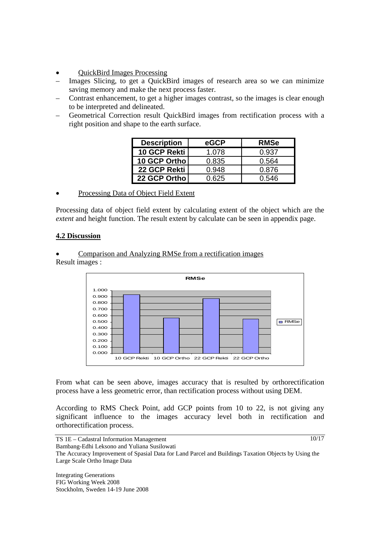- QuickBird Images Processing
- Images Slicing, to get a QuickBird images of research area so we can minimize saving memory and make the next process faster.
- Contrast enhancement, to get a higher images contrast, so the images is clear enough to be interpreted and delineated.
- Geometrical Correction result QuickBird images from rectification process with a right position and shape to the earth surface.

| <b>Description</b> | eGCP  | <b>RMSe</b> |
|--------------------|-------|-------------|
| 10 GCP Rekti       | 1.078 | 0.937       |
| 10 GCP Ortho       | 0.835 | 0.564       |
| 22 GCP Rekti       | 0.948 | 0.876       |
| 22 GCP Orthol      | 0.625 | 0.546       |

## • Processing Data of Object Field Extent

Processing data of object field extent by calculating extent of the object which are the *extent* and height function. The result extent by calculate can be seen in appendix page.

## **4.2 Discussion**

• Comparison and Analyzing RMSe from a rectification images Result images :



From what can be seen above, images accuracy that is resulted by orthorectification process have a less geometric error, than rectification process without using DEM.

According to RMS Check Point, add GCP points from 10 to 22, is not giving any significant influence to the images accuracy level both in rectification and orthorectification process.

TS 1E – Cadastral Information Management Bambang-Edhi Leksono and Yuliana Susilowati The Accuracy Improvement of Spasial Data for Land Parcel and Buildings Taxation Objects by Using the Large Scale Ortho Image Data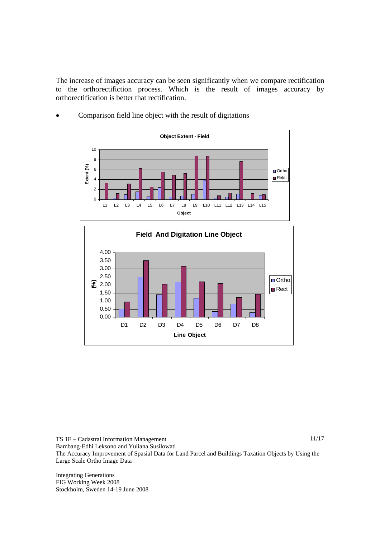The increase of images accuracy can be seen significantly when we compare rectification to the orthorectifiction process. Which is the result of images accuracy by orthorectification is better that rectification.



Comparison field line object with the result of digitations



TS 1E – Cadastral Information Management Bambang-Edhi Leksono and Yuliana Susilowati The Accuracy Improvement of Spasial Data for Land Parcel and Buildings Taxation Objects by Using the Large Scale Ortho Image Data

Integrating Generations FIG Working Week 2008 Stockholm, Sweden 14-19 June 2008  $\frac{11}{17}$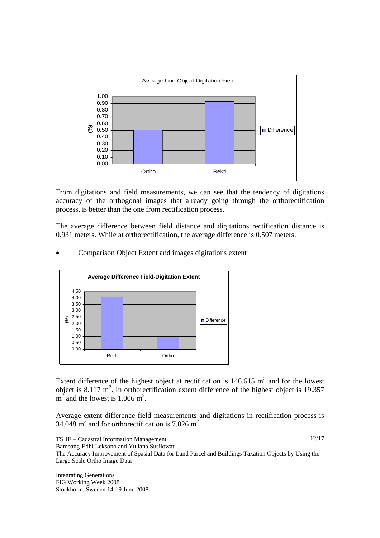

From digitations and field measurements, we can see that the tendency of digitations accuracy of the orthogonal images that already going through the orthorectification process, is better than the one from rectification process.

The average difference between field distance and digitations rectification distance is 0.931 meters. While at orthorectification, the average difference is 0.507 meters.

#### • Comparison Object Extent and images digitations extent



Extent difference of the highest object at rectification is  $146.615 \text{ m}^2$  and for the lowest object is 8.117  $m^2$ . In orthorectification extent difference of the highest object is 19.357  $m^2$  and the lowest is 1.006 m<sup>2</sup>.

Average extent difference field measurements and digitations in rectification process is 34.048  $\text{m}^2$  and for orthorectification is 7.826  $\text{m}^2$ .

TS 1E – Cadastral Information Management Bambang-Edhi Leksono and Yuliana Susilowati 12/17

The Accuracy Improvement of Spasial Data for Land Parcel and Buildings Taxation Objects by Using the Large Scale Ortho Image Data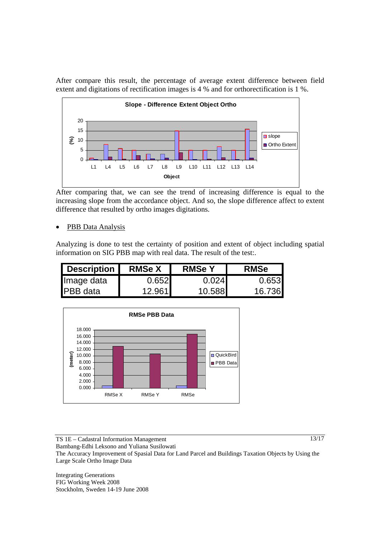After compare this result, the percentage of average extent difference between field extent and digitations of rectification images is 4 % and for orthorectification is 1 %.



After comparing that, we can see the trend of increasing difference is equal to the increasing slope from the accordance object. And so, the slope difference affect to extent difference that resulted by ortho images digitations.

PBB Data Analysis

Analyzing is done to test the certainty of position and extent of object including spatial information on SIG PBB map with real data. The result of the test:.

| <b>Description</b> | <b>RMSe X</b>   | <b>RMSe Y</b> | <b>RMSe</b> |
|--------------------|-----------------|---------------|-------------|
| Image data         | 0.652           | 0.0241        | 0.653       |
| <b>IPBB</b> data   | 12.961 <b>1</b> | 10.588        | 16.736      |



TS 1E – Cadastral Information Management

 $13/17$ 

Bambang-Edhi Leksono and Yuliana Susilowati

The Accuracy Improvement of Spasial Data for Land Parcel and Buildings Taxation Objects by Using the Large Scale Ortho Image Data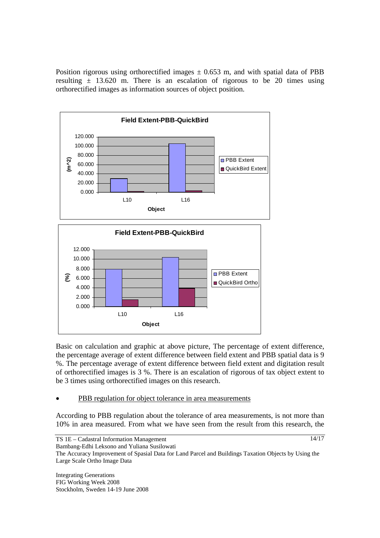Position rigorous using orthorectified images  $\pm$  0.653 m, and with spatial data of PBB resulting  $\pm$  13.620 m. There is an escalation of rigorous to be 20 times using orthorectified images as information sources of object position.



Basic on calculation and graphic at above picture, The percentage of extent difference, the percentage average of extent difference between field extent and PBB spatial data is 9 %. The percentage average of extent difference between field extent and digitation result of orthorectified images is 3 %. There is an escalation of rigorous of tax object extent to be 3 times using orthorectified images on this research.

## PBB regulation for object tolerance in area measurements

According to PBB regulation about the tolerance of area measurements, is not more than 10% in area measured. From what we have seen from the result from this research, the

The Accuracy Improvement of Spasial Data for Land Parcel and Buildings Taxation Objects by Using the Large Scale Ortho Image Data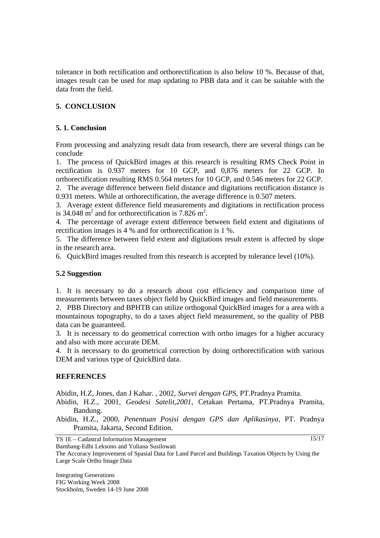tolerance in both rectification and orthorectification is also below 10 %. Because of that, images result can be used for map updating to PBB data and it can be suitable with the data from the field.

# **5. CONCLUSION**

#### **5. 1. Conclusion**

From processing and analyzing result data from research, there are several things can be conclude

1. The process of QuickBird images at this research is resulting RMS Check Point in rectification is 0.937 meters for 10 GCP, and 0,876 meters for 22 GCP. In orthorectification resulting RMS 0.564 meters for 10 GCP, and 0.546 meters for 22 GCP.

2. The average difference between field distance and digitations rectification distance is 0.931 meters. While at orthorectification, the average difference is 0.507 meters.

3. Average extent difference field measurements and digitations in rectification process is 34.048  $\text{m}^2$  and for orthorectification is 7.826 m<sup>2</sup>.

4. The percentage of average extent difference between field extent and digitations of rectification images is 4 % and for orthorectification is 1 %.

5. The difference between field extent and digitations result extent is affected by slope in the research area.

6. QuickBird images resulted from this research is accepted by tolerance level (10%).

#### **5.2 Suggestion**

1. It is necessary to do a research about cost efficiency and comparison time of measurements between taxes object field by QuickBird images and field measurements.

2. PBB Directory and BPHTB can utilize orthogonal QuickBird images for a area with a mountainous topography, to do a taxes abject field measurement, so the quality of PBB data can be guaranteed.

3. It is necessary to do geometrical correction with ortho images for a higher accuracy and also with more accurate DEM.

4. It is necessary to do geometrical correction by doing orthorectification with various DEM and various type of QuickBird data.

#### **REFERENCES**

Abidin, H.Z, Jones, dan J Kahar. , 2002, *Survei dengan GPS*, PT.Pradnya Pramita.

Abidin, H.Z., 2001, *Geodesi Satelit,2001*, Cetakan Pertama, PT.Pradnya Pramita, Bandung.

Abidin, H.Z., 2000, *Penentuan Posisi dengan GPS dan Aplikasinya*, PT. Pradnya Pramita, Jakarta, Second Edition.

TS 1E – Cadastral Information Management

 $15/17$ 

Bambang-Edhi Leksono and Yuliana Susilowati

The Accuracy Improvement of Spasial Data for Land Parcel and Buildings Taxation Objects by Using the Large Scale Ortho Image Data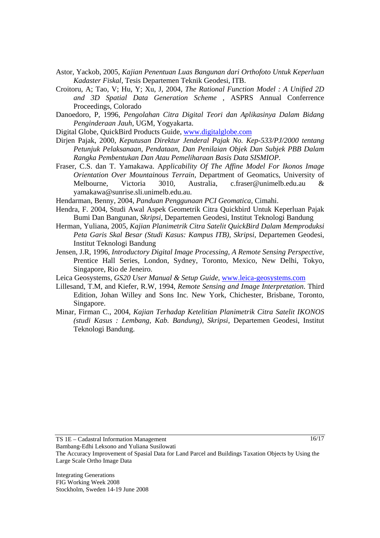- Astor, Yackob, 2005, *Kajian Penentuan Luas Bangunan dari Orthofoto Untuk Keperluan Kadaster Fiskal*, Tesis Departemen Teknik Geodesi, ITB.
- Croitoru, A; Tao, V; Hu, Y; Xu, J, 2004, *The Rational Function Model : A Unified 2D and 3D Spatial Data Generation Scheme* , ASPRS Annual Conferrence Proceedings, Colorado
- Danoedoro, P, 1996, *Pengolahan Citra Digital Teori dan Aplikasinya Dalam Bidang Penginderaan Jauh*, UGM, Yogyakarta.
- Digital Globe, QuickBird Products Guide, www.digitalglobe.com
- Dirjen Pajak, 2000, *Keputusan Direktur Jenderal Pajak No. Kep-533/PJ/2000 tentang Petunjuk Pelaksanaan, Pendataan, Dan Penilaian Objek Dan Subjek PBB Dalam Rangka Pembentukan Dan Atau Pemeliharaan Basis Data SISMIOP*.
- Fraser, C.S. dan T. Yamakawa. A*pplicability Of The Affine Model For Ikonos Image Orientation Over Mountainous Terrain,* Department of Geomatics, University of Melbourne, Victoria 3010, Australia, c.fraser@unimelb.edu.au & yamakawa@sunrise.sli.unimelb.edu.au.
- Hendarman, Benny, 2004, *Panduan Penggunaan PCI Geomatica,* Cimahi.
- Hendra, F. 2004, Studi Awal Aspek Geometrik Citra Quickbird Untuk Keperluan Pajak Bumi Dan Bangunan, *Skripsi*, Departemen Geodesi, Institut Teknologi Bandung
- Herman, Yuliana, 2005, *Kajian Planimetrik Citra Satelit QuickBird Dalam Memproduksi Peta Garis Skal Besar (Studi Kasus: Kampus ITB), Skripsi*, Departemen Geodesi, Institut Teknologi Bandung
- Jensen, J.R, 1996, *Introductory Digital Image Processing, A Remote Sensing Perspective*, Prentice Hall Series, London, Sydney, Toronto, Mexico, New Delhi, Tokyo, Singapore, Rio de Jeneiro.
- Leica Geosystems, *GS20 User Manual & Setup Guide,* www.leica-geosystems.com
- Lillesand, T.M, and Kiefer, R.W, 1994, *Remote Sensing and Image Interpretation*. Third Edition, Johan Willey and Sons Inc. New York, Chichester, Brisbane, Toronto, Singapore.
- Minar, Firman C., 2004, *Kajian Terhadap Ketelitian Planimetrik Citra Satelit IKONOS (studi Kasus : Lembang, Kab. Bandung)*, *Skripsi*, Departemen Geodesi, Institut Teknologi Bandung.

TS 1E – Cadastral Information Management

 $16/17$ 

Bambang-Edhi Leksono and Yuliana Susilowati The Accuracy Improvement of Spasial Data for Land Parcel and Buildings Taxation Objects by Using the Large Scale Ortho Image Data